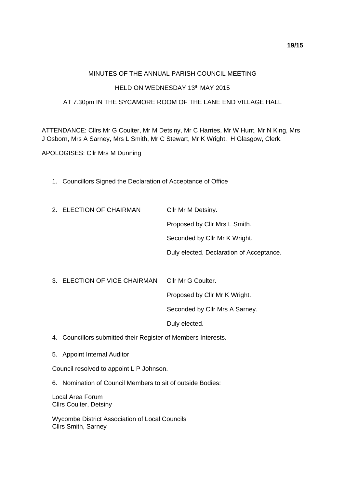## MINUTES OF THE ANNUAL PARISH COUNCIL MEETING

## HELD ON WEDNESDAY 13th MAY 2015

## AT 7.30pm IN THE SYCAMORE ROOM OF THE LANE END VILLAGE HALL

ATTENDANCE: Cllrs Mr G Coulter, Mr M Detsiny, Mr C Harries, Mr W Hunt, Mr N King, Mrs J Osborn, Mrs A Sarney, Mrs L Smith, Mr C Stewart, Mr K Wright. H Glasgow, Clerk.

APOLOGISES: Cllr Mrs M Dunning

1. Councillors Signed the Declaration of Acceptance of Office

| 2. ELECTION OF CHAIRMAN      | Cllr Mr M Detsiny.                       |
|------------------------------|------------------------------------------|
|                              | Proposed by Cllr Mrs L Smith.            |
|                              | Seconded by Cllr Mr K Wright.            |
|                              | Duly elected. Declaration of Acceptance. |
|                              |                                          |
| 3. ELECTION OF VICE CHAIRMAN | Cllr Mr G Coulter.                       |
|                              | Proposed by Cllr Mr K Wright.            |
|                              | Seconded by Cllr Mrs A Sarney.           |
|                              | Duly elected.                            |

- 4. Councillors submitted their Register of Members Interests.
- 5. Appoint Internal Auditor

Council resolved to appoint L P Johnson.

6. Nomination of Council Members to sit of outside Bodies:

Local Area Forum Cllrs Coulter, Detsiny

Wycombe District Association of Local Councils Cllrs Smith, Sarney